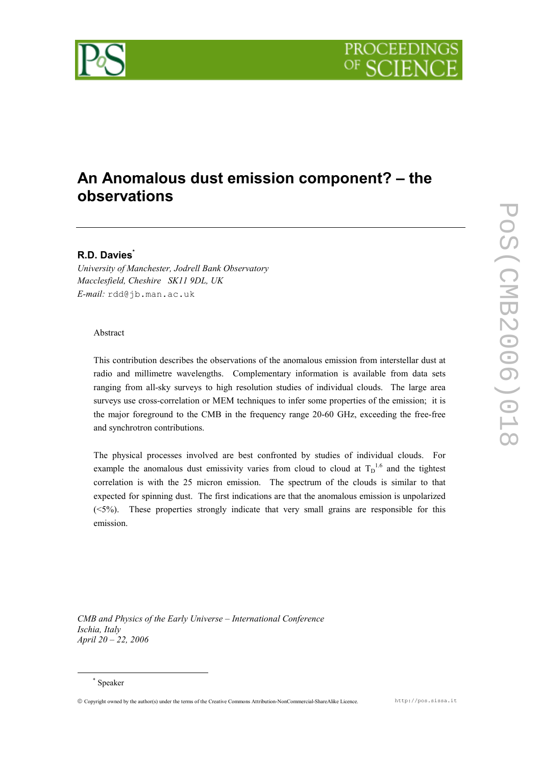

# An Anomalous dust emission component? – the observations

## R.D. Davies

University of Manchester, Jodrell Bank Observatory Macclesfield, Cheshire SK11 9DL, UK E-mail: rdd@jb.man.ac.uk

### Abstract

This contribution describes the observations of the anomalous emission from interstellar dust at radio and millimetre wavelengths. Complementary information is available from data sets ranging from all-sky surveys to high resolution studies of individual clouds. The large area surveys use cross-correlation or MEM techniques to infer some properties of the emission; it is the major foreground to the CMB in the frequency range 20-60 GHz, exceeding the free-free and synchrotron contributions.

The physical processes involved are best confronted by studies of individual clouds. For example the anomalous dust emissivity varies from cloud to cloud at  $T_D^{1.6}$  and the tightest correlation is with the 25 micron emission. The spectrum of the clouds is similar to that expected for spinning dust. The first indications are that the anomalous emission is unpolarized (<5%). These properties strongly indicate that very small grains are responsible for this emission.

CMB and Physics of the Early Universe – International Conference Ischia, Italy April 20 – 22, 2006

 $\overline{a}$ 

Copyright owned by the author(s) under the terms of the Creative Commons Attribution-NonCommercial-ShareAlike Licence. http://pos.sissa.it

<sup>\*</sup> Speaker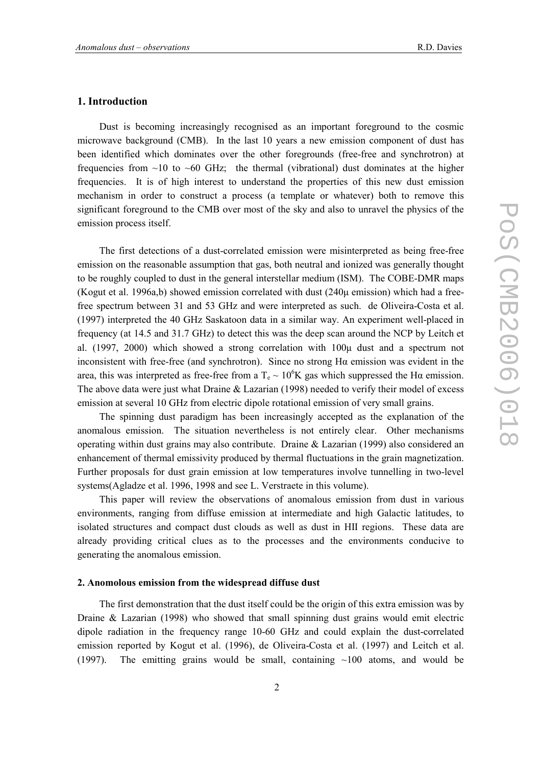#### 1. Introduction

Dust is becoming increasingly recognised as an important foreground to the cosmic microwave background (CMB). In the last 10 years a new emission component of dust has been identified which dominates over the other foregrounds (free-free and synchrotron) at frequencies from  $\sim$ 10 to  $\sim$ 60 GHz; the thermal (vibrational) dust dominates at the higher frequencies. It is of high interest to understand the properties of this new dust emission mechanism in order to construct a process (a template or whatever) both to remove this significant foreground to the CMB over most of the sky and also to unravel the physics of the emission process itself.

The first detections of a dust-correlated emission were misinterpreted as being free-free emission on the reasonable assumption that gas, both neutral and ionized was generally thought to be roughly coupled to dust in the general interstellar medium (ISM). The COBE-DMR maps (Kogut et al. 1996a,b) showed emission correlated with dust  $(240\mu \text{ emission})$  which had a freefree spectrum between 31 and 53 GHz and were interpreted as such. de Oliveira-Costa et al. (1997) interpreted the 40 GHz Saskatoon data in a similar way. An experiment well-placed in frequency (at 14.5 and 31.7 GHz) to detect this was the deep scan around the NCP by Leitch et al. (1997, 2000) which showed a strong correlation with 100µ dust and a spectrum not inconsistent with free-free (and synchrotron). Since no strong  $H\alpha$  emission was evident in the area, this was interpreted as free-free from a T<sub>e</sub>  $\sim 10^6$ K gas which suppressed the H $\alpha$  emission. The above data were just what Draine  $&$  Lazarian (1998) needed to verify their model of excess emission at several 10 GHz from electric dipole rotational emission of very small grains.

The spinning dust paradigm has been increasingly accepted as the explanation of the anomalous emission. The situation nevertheless is not entirely clear. Other mechanisms operating within dust grains may also contribute. Draine & Lazarian (1999) also considered an enhancement of thermal emissivity produced by thermal fluctuations in the grain magnetization. Further proposals for dust grain emission at low temperatures involve tunnelling in two-level systems(Agladze et al. 1996, 1998 and see L. Verstraete in this volume).

This paper will review the observations of anomalous emission from dust in various environments, ranging from diffuse emission at intermediate and high Galactic latitudes, to isolated structures and compact dust clouds as well as dust in HII regions. These data are already providing critical clues as to the processes and the environments conducive to generating the anomalous emission.

### 2. Anomolous emission from the widespread diffuse dust

The first demonstration that the dust itself could be the origin of this extra emission was by Draine & Lazarian (1998) who showed that small spinning dust grains would emit electric dipole radiation in the frequency range 10-60 GHz and could explain the dust-correlated emission reported by Kogut et al. (1996), de Oliveira-Costa et al. (1997) and Leitch et al. (1997). The emitting grains would be small, containing  $\sim$ 100 atoms, and would be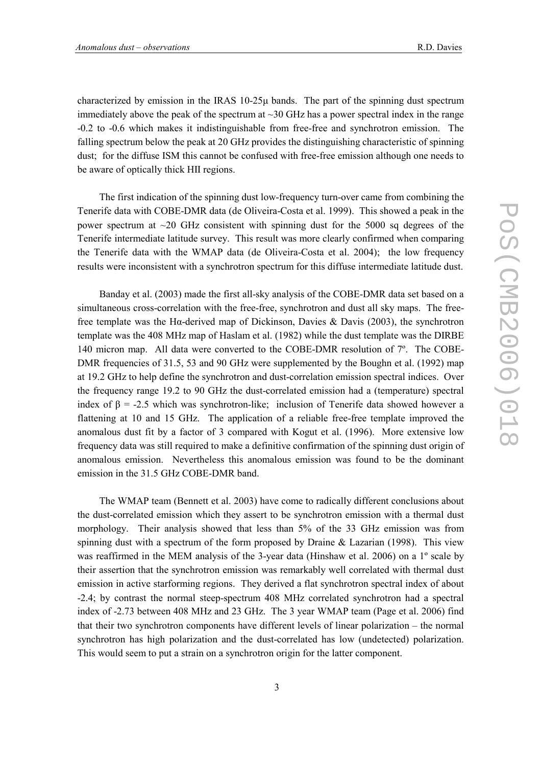characterized by emission in the IRAS 10-25µ bands. The part of the spinning dust spectrum immediately above the peak of the spectrum at  $\sim$ 30 GHz has a power spectral index in the range -0.2 to -0.6 which makes it indistinguishable from free-free and synchrotron emission. The falling spectrum below the peak at 20 GHz provides the distinguishing characteristic of spinning dust; for the diffuse ISM this cannot be confused with free-free emission although one needs to be aware of optically thick HII regions.

The first indication of the spinning dust low-frequency turn-over came from combining the Tenerife data with COBE-DMR data (de Oliveira-Costa et al. 1999). This showed a peak in the power spectrum at  $\sim$ 20 GHz consistent with spinning dust for the 5000 sq degrees of the Tenerife intermediate latitude survey. This result was more clearly confirmed when comparing the Tenerife data with the WMAP data (de Oliveira-Costa et al. 2004); the low frequency results were inconsistent with a synchrotron spectrum for this diffuse intermediate latitude dust.

Banday et al. (2003) made the first all-sky analysis of the COBE-DMR data set based on a simultaneous cross-correlation with the free-free, synchrotron and dust all sky maps. The freefree template was the H $\alpha$ -derived map of Dickinson, Davies & Davis (2003), the synchrotron template was the 408 MHz map of Haslam et al. (1982) while the dust template was the DIRBE 140 micron map. All data were converted to the COBE-DMR resolution of 7º. The COBE-DMR frequencies of 31.5, 53 and 90 GHz were supplemented by the Boughn et al. (1992) map at 19.2 GHz to help define the synchrotron and dust-correlation emission spectral indices. Over the frequency range 19.2 to 90 GHz the dust-correlated emission had a (temperature) spectral index of  $\beta$  = -2.5 which was synchrotron-like; inclusion of Tenerife data showed however a flattening at 10 and 15 GHz. The application of a reliable free-free template improved the anomalous dust fit by a factor of 3 compared with Kogut et al. (1996). More extensive low frequency data was still required to make a definitive confirmation of the spinning dust origin of anomalous emission. Nevertheless this anomalous emission was found to be the dominant emission in the 31.5 GHz COBE-DMR band.

The WMAP team (Bennett et al. 2003) have come to radically different conclusions about the dust-correlated emission which they assert to be synchrotron emission with a thermal dust morphology. Their analysis showed that less than 5% of the 33 GHz emission was from spinning dust with a spectrum of the form proposed by Draine  $&$  Lazarian (1998). This view was reaffirmed in the MEM analysis of the 3-year data (Hinshaw et al. 2006) on a 1º scale by their assertion that the synchrotron emission was remarkably well correlated with thermal dust emission in active starforming regions. They derived a flat synchrotron spectral index of about -2.4; by contrast the normal steep-spectrum 408 MHz correlated synchrotron had a spectral index of -2.73 between 408 MHz and 23 GHz. The 3 year WMAP team (Page et al. 2006) find that their two synchrotron components have different levels of linear polarization – the normal synchrotron has high polarization and the dust-correlated has low (undetected) polarization. This would seem to put a strain on a synchrotron origin for the latter component.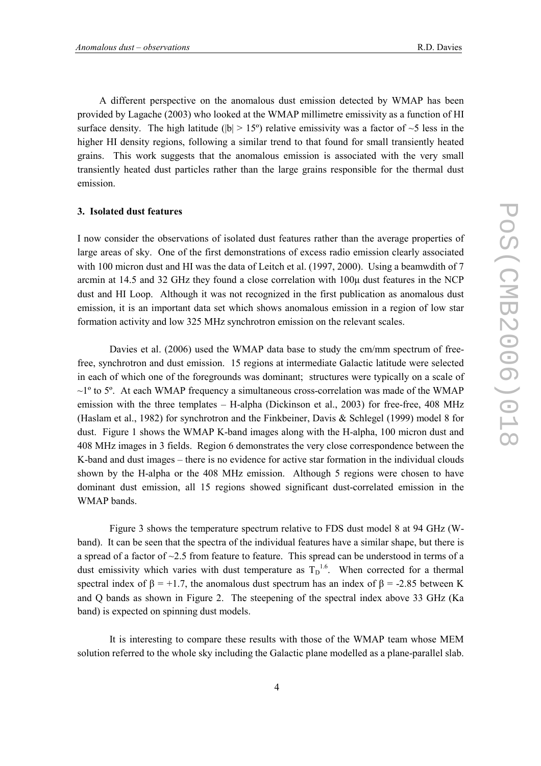A different perspective on the anomalous dust emission detected by WMAP has been provided by Lagache (2003) who looked at the WMAP millimetre emissivity as a function of HI surface density. The high latitude ( $|b| > 15^{\circ}$ ) relative emissivity was a factor of  $\sim$ 5 less in the higher HI density regions, following a similar trend to that found for small transiently heated grains. This work suggests that the anomalous emission is associated with the very small transiently heated dust particles rather than the large grains responsible for the thermal dust emission.

#### 3. Isolated dust features

I now consider the observations of isolated dust features rather than the average properties of large areas of sky. One of the first demonstrations of excess radio emission clearly associated with 100 micron dust and HI was the data of Leitch et al. (1997, 2000). Using a beamwdith of 7 arcmin at 14.5 and 32 GHz they found a close correlation with 100µ dust features in the NCP dust and HI Loop. Although it was not recognized in the first publication as anomalous dust emission, it is an important data set which shows anomalous emission in a region of low star formation activity and low 325 MHz synchrotron emission on the relevant scales.

 Davies et al. (2006) used the WMAP data base to study the cm/mm spectrum of freefree, synchrotron and dust emission. 15 regions at intermediate Galactic latitude were selected in each of which one of the foregrounds was dominant; structures were typically on a scale of  $\sim$ 1<sup>o</sup> to 5<sup>o</sup>. At each WMAP frequency a simultaneous cross-correlation was made of the WMAP emission with the three templates – H-alpha (Dickinson et al., 2003) for free-free, 408 MHz (Haslam et al., 1982) for synchrotron and the Finkbeiner, Davis & Schlegel (1999) model 8 for dust. Figure 1 shows the WMAP K-band images along with the H-alpha, 100 micron dust and 408 MHz images in 3 fields. Region 6 demonstrates the very close correspondence between the K-band and dust images – there is no evidence for active star formation in the individual clouds shown by the H-alpha or the 408 MHz emission. Although 5 regions were chosen to have dominant dust emission, all 15 regions showed significant dust-correlated emission in the WMAP bands.

 Figure 3 shows the temperature spectrum relative to FDS dust model 8 at 94 GHz (Wband). It can be seen that the spectra of the individual features have a similar shape, but there is a spread of a factor of ~2.5 from feature to feature. This spread can be understood in terms of a dust emissivity which varies with dust temperature as  $T_D^{1.6}$ . When corrected for a thermal spectral index of  $\beta = +1.7$ , the anomalous dust spectrum has an index of  $\beta = -2.85$  between K and Q bands as shown in Figure 2. The steepening of the spectral index above 33 GHz (Ka band) is expected on spinning dust models.

 It is interesting to compare these results with those of the WMAP team whose MEM solution referred to the whole sky including the Galactic plane modelled as a plane-parallel slab.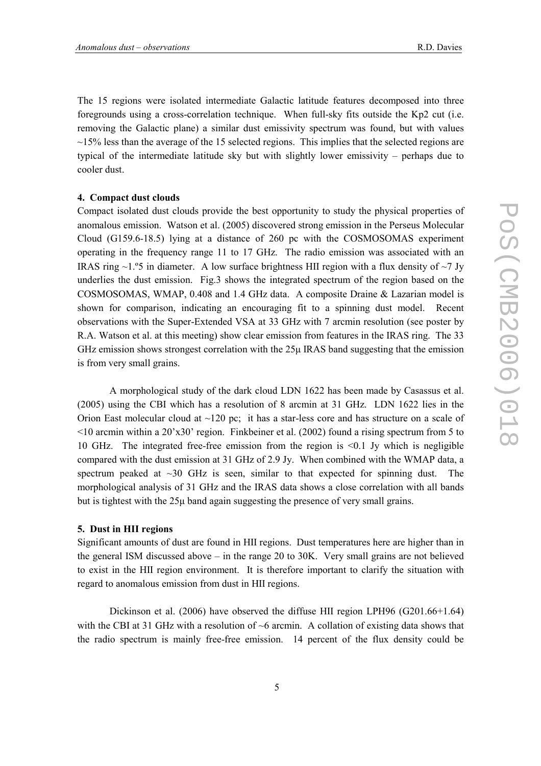The 15 regions were isolated intermediate Galactic latitude features decomposed into three foregrounds using a cross-correlation technique. When full-sky fits outside the Kp2 cut (i.e. removing the Galactic plane) a similar dust emissivity spectrum was found, but with values  $\sim$ 15% less than the average of the 15 selected regions. This implies that the selected regions are typical of the intermediate latitude sky but with slightly lower emissivity – perhaps due to cooler dust.

#### 4. Compact dust clouds

Compact isolated dust clouds provide the best opportunity to study the physical properties of anomalous emission. Watson et al. (2005) discovered strong emission in the Perseus Molecular Cloud (G159.6-18.5) lying at a distance of 260 pc with the COSMOSOMAS experiment operating in the frequency range 11 to 17 GHz. The radio emission was associated with an IRAS ring  $\sim$ 1.°5 in diameter. A low surface brightness HII region with a flux density of  $\sim$ 7 Jy underlies the dust emission. Fig.3 shows the integrated spectrum of the region based on the COSMOSOMAS, WMAP, 0.408 and 1.4 GHz data. A composite Draine & Lazarian model is shown for comparison, indicating an encouraging fit to a spinning dust model. Recent observations with the Super-Extended VSA at 33 GHz with 7 arcmin resolution (see poster by R.A. Watson et al. at this meeting) show clear emission from features in the IRAS ring. The 33 GHz emission shows strongest correlation with the  $25\mu$  IRAS band suggesting that the emission is from very small grains.

 A morphological study of the dark cloud LDN 1622 has been made by Casassus et al. (2005) using the CBI which has a resolution of 8 arcmin at 31 GHz. LDN 1622 lies in the Orion East molecular cloud at  $\sim$ 120 pc; it has a star-less core and has structure on a scale of  $\leq$ 10 arcmin within a 20'x30' region. Finkbeiner et al. (2002) found a rising spectrum from 5 to 10 GHz. The integrated free-free emission from the region is <0.1 Jy which is negligible compared with the dust emission at 31 GHz of 2.9 Jy. When combined with the WMAP data, a spectrum peaked at  $\sim$ 30 GHz is seen, similar to that expected for spinning dust. The morphological analysis of 31 GHz and the IRAS data shows a close correlation with all bands but is tightest with the 25µ band again suggesting the presence of very small grains.

#### 5. Dust in HII regions

Significant amounts of dust are found in HII regions. Dust temperatures here are higher than in the general ISM discussed above – in the range 20 to 30K. Very small grains are not believed to exist in the HII region environment. It is therefore important to clarify the situation with regard to anomalous emission from dust in HII regions.

 Dickinson et al. (2006) have observed the diffuse HII region LPH96 (G201.66+1.64) with the CBI at 31 GHz with a resolution of  $\sim$ 6 arcmin. A collation of existing data shows that the radio spectrum is mainly free-free emission. 14 percent of the flux density could be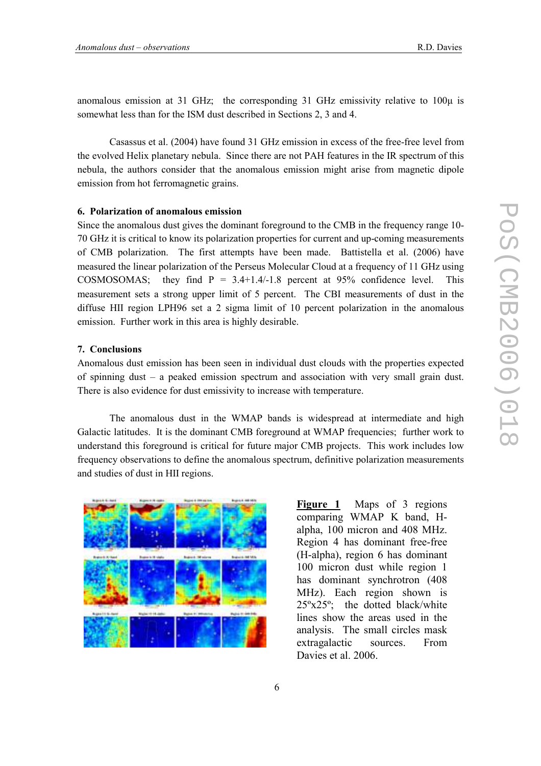anomalous emission at 31 GHz; the corresponding 31 GHz emissivity relative to  $100\mu$  is somewhat less than for the ISM dust described in Sections 2, 3 and 4.

 Casassus et al. (2004) have found 31 GHz emission in excess of the free-free level from the evolved Helix planetary nebula. Since there are not PAH features in the IR spectrum of this nebula, the authors consider that the anomalous emission might arise from magnetic dipole emission from hot ferromagnetic grains.

#### 6. Polarization of anomalous emission

Since the anomalous dust gives the dominant foreground to the CMB in the frequency range 10- 70 GHz it is critical to know its polarization properties for current and up-coming measurements of CMB polarization. The first attempts have been made. Battistella et al. (2006) have measured the linear polarization of the Perseus Molecular Cloud at a frequency of 11 GHz using COSMOSOMAS; they find  $P = 3.4+1.4-1.8$  percent at 95% confidence level. This measurement sets a strong upper limit of 5 percent. The CBI measurements of dust in the diffuse HII region LPH96 set a 2 sigma limit of 10 percent polarization in the anomalous emission. Further work in this area is highly desirable.

#### 7. Conclusions

Anomalous dust emission has been seen in individual dust clouds with the properties expected of spinning dust – a peaked emission spectrum and association with very small grain dust. There is also evidence for dust emissivity to increase with temperature.

 The anomalous dust in the WMAP bands is widespread at intermediate and high Galactic latitudes. It is the dominant CMB foreground at WMAP frequencies; further work to understand this foreground is critical for future major CMB projects. This work includes low frequency observations to define the anomalous spectrum, definitive polarization measurements and studies of dust in HII regions.



Figure 1 Maps of 3 regions comparing WMAP K band, Halpha, 100 micron and 408 MHz. Region 4 has dominant free-free (H-alpha), region 6 has dominant 100 micron dust while region 1 has dominant synchrotron (408 MHz). Each region shown is 25ºx25º; the dotted black/white lines show the areas used in the analysis. The small circles mask extragalactic sources. From Davies et al. 2006.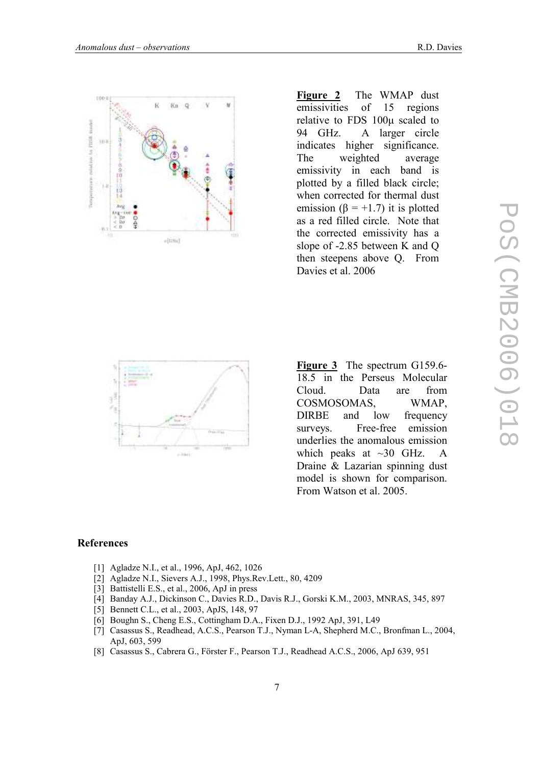



Figure 2 The WMAP dust emissivities of 15 regions relative to FDS 100µ scaled to 94 GHz. A larger circle indicates higher significance. The weighted average emissivity in each band is plotted by a filled black circle; when corrected for thermal dust emission ( $\beta$  = +1.7) it is plotted as a red filled circle. Note that the corrected emissivity has a slope of -2.85 between K and Q then steepens above Q. From Davies et al. 2006



Figure 3 The spectrum G159.6-18.5 in the Perseus Molecular Cloud. Data are from COSMOSOMAS, WMAP, DIRBE and low frequency surveys. Free-free emission underlies the anomalous emission which peaks at  $\sim$ 30 GHz. A Draine & Lazarian spinning dust model is shown for comparison. From Watson et al. 2005.

## References

- [1] Agladze N.I., et al., 1996, ApJ, 462, 1026
- [2] Agladze N.I., Sievers A.J., 1998, Phys.Rev.Lett., 80, 4209
- [3] Battistelli E.S., et al., 2006, ApJ in press
- [4] Banday A.J., Dickinson C., Davies R.D., Davis R.J., Gorski K.M., 2003, MNRAS, 345, 897
- [5] Bennett C.L., et al., 2003, ApJS, 148, 97
- [6] Boughn S., Cheng E.S., Cottingham D.A., Fixen D.J., 1992 ApJ, 391, L49
- [7] Casassus S., Readhead, A.C.S., Pearson T.J., Nyman L-A, Shepherd M.C., Bronfman L., 2004, ApJ, 603, 599
- [8] Casassus S., Cabrera G., Förster F., Pearson T.J., Readhead A.C.S., 2006, ApJ 639, 951